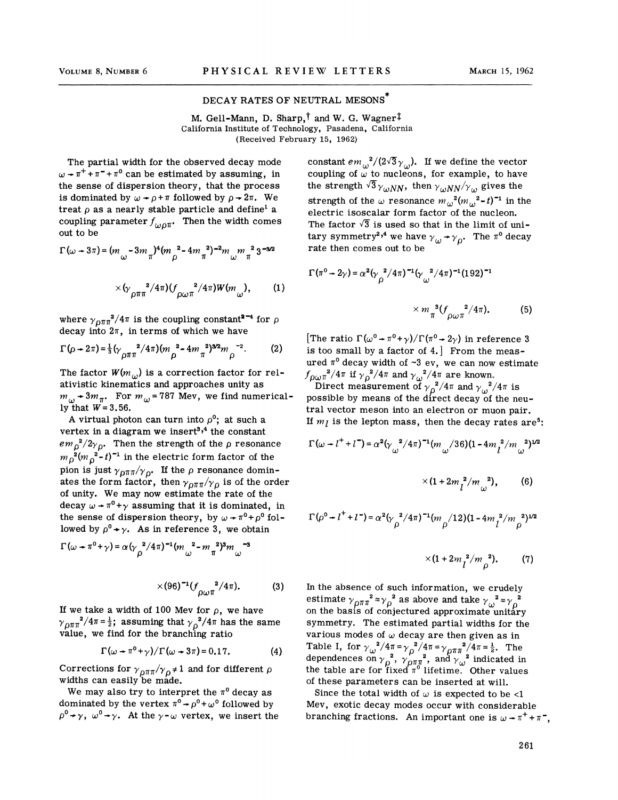## DECAY RATES OF NEUTRAL MESONS

M. Gell-Mann, D. Sharp,<sup>†</sup> and W. G. Wagner<sup>‡</sup> California Institute of Technology, Pasadena, California (Received February 15, 1962)

The partial width for the observed decay mode  $\omega$  +  $\pi$ <sup>+</sup> +  $\pi$ <sup>-</sup> +  $\pi$ <sup>0</sup> can be estimated by assuming, in the sense of dispersion theory, that the process is dominated by  $\omega \rightarrow \rho + \pi$  followed by  $\rho \rightarrow 2\pi$ . We treat  $\rho$  as a nearly stable particle and define<sup>1</sup> a coupling parameter  $f_{\omega 0\pi}$ . Then the width comes out to be

$$
\Gamma(\omega + 3\pi) = (m_{\omega} - 3m_{\pi})^4 (m_{\rho}^2 - 4m_{\pi}^2)^{-2} m_{\omega} m_{\pi}^2 3^{-3/2}
$$

$$
\times (\gamma_{\rho\pi\pi}^2 / 4\pi) (f_{\rho\omega\pi}^2 / 4\pi) W(m_{\omega}), \qquad (1)
$$

where  $\gamma_{\text{DTT}}^2/4\pi$  is the coupling constant<sup>2-4</sup> for  $\rho$ decay into  $2\pi$ , in terms of which we have

$$
\Gamma(\rho + 2\pi) = \frac{1}{3} (\gamma_{\rho \pi \pi}^2 / 4\pi) (m_{\rho}^2 - 4m_{\pi}^2)^{3/2} m_{\rho}^{-2}.
$$
 (2)

The factor  $W(m_{\omega})$  is a correction factor for relativistic kinematics and approaches unity as  $m_{\omega}$  + 3 $m_{\pi}$ . For  $m_{\omega}$  = 787 Mev, we find numerically that  $W = 3.56$ .

A virtual photon can turn into  $\rho^0$ ; at such a vertex in a diagram we insert<sup>3,4</sup> the constant  $em_{\rho}^{2}/2\gamma_{\rho}$ . Then the strength of the  $\rho$  resonance  $m_p^2 (m_p^2-t)^{-1}$  in the electric form factor of the pion is just  $\gamma_{\rho\pi\pi}/\gamma_{\rho}$ . If the  $\rho$  resonance dominates the form factor, then  $\gamma_{DT\pi}/\gamma_{D}$  is of the order of unity. We may now estimate the rate of the decay  $\omega + \pi^0 + \gamma$  assuming that it is dominated, in the sense of dispersion theory, by  $\omega \rightarrow \pi^0 + \rho^0$  followed by  $\rho^0 \rightarrow \gamma$ . As in reference 3, we obtain

$$
\Gamma(\omega + \pi^0 + \gamma) = \alpha (\gamma \frac{2}{\rho} / 4\pi)^{-1} (m \frac{2}{\omega} - m \frac{2}{\pi})^3 m \frac{-3}{\omega}
$$

$$
\times (96)^{-1} (f \frac{2}{\rho \omega \pi}^{2}/4\pi). \tag{3}
$$

If we take a width of 100 Mev for  $\rho$ , we have  $\gamma_{\text{DTT}}^2/4\pi = \frac{1}{2}$ ; assuming that  $\gamma_{\text{O}}^2/4\pi$  has the same value, we find for the branching ratio

$$
\Gamma(\omega + \pi^0 + \gamma) / \Gamma(\omega + 3\pi) = 0.17.
$$
 (4)

Corrections for  $\gamma_{\rho\pi\pi}/\gamma_{\rho} \neq 1$  and for different  $\rho$ widths can easily be made.

We may also try to interpret the  $\pi^0$  decay as dominated by the vertex  $\pi^0 \rightarrow \rho^0 + \omega^0$  followed by  $\rho^{0} \rightarrow \gamma$ ,  $\omega^{0} \rightarrow \gamma$ . At the  $\gamma$ - $\omega$  vertex, we insert the constant  $em_{\omega}^{2}/(2\sqrt{3}\gamma_{\omega})$ . If we define the vector coupling of  $\omega$  to nucleons, for example, to have the strength  $\sqrt{3}\gamma_{\omega NN}$ , then  $\gamma_{\omega NN}/\gamma_{\omega}$  gives the strength of the  $\omega$  resonance  $m_{\omega}^{2} (m_{\omega}^{2} - t)^{-1}$  in the electric isoscalar form factor of the nucleon. The factor  $\sqrt{3}$  is used so that in the limit of unitary symmetry<sup>2,4</sup> we have  $\gamma_{\mu} \rightarrow \gamma_{0}$ . The  $\pi^{0}$  decay rate then comes out to be

$$
\Gamma(\pi^0 \to 2\gamma) = \alpha^2 (\gamma \frac{2}{\rho})^2 (4\pi)^{-1} (\gamma \frac{2}{\omega})^2 (4\pi)^{-1} (192)^{-1}
$$
  
×  $m \frac{3}{\pi} (\frac{2}{\rho \omega \pi})^2 (4\pi)$ . (5)

[The ratio  $\Gamma(\omega^0 \rightarrow \pi^0 + \gamma)/\Gamma(\pi^0 \rightarrow 2\gamma)$  in reference 3 is too small by a factor of 4.] From the measured  $\pi^0$  decay width of  $\sim 3$  ev, we can now estimate  $f_{\rho\omega\pi}^2/4\pi$  if  $\gamma_\rho^2/4\pi$  and  $\gamma_\omega^2/4\pi$  are known.<br>Direct measurement of  $\gamma_\rho^2/4\pi$  and  $\gamma_\omega^2/4\pi$  is

possible by means of the direct decay of the neutral vector meson into an electron or muon pair. If  $m_l$  is the lepton mass, then the decay rates are<sup>5</sup>:

$$
\Gamma(\omega + l^{+} + l^{-}) = \alpha^{2} (\gamma \omega^{2} / 4\pi)^{-1} (m \omega / 36)(1 - 4m \omega^{2} / m \omega^{2})^{1/2}
$$

$$
\times (1+2m_l^2/m_\omega^2),\qquad (6)
$$

$$
\Gamma(\rho^0 \to l^+ + l^-) = \alpha^2 (\gamma \frac{2}{\rho} / 4\pi)^{-1} (m \frac{1}{\rho} / 12) (1 - 4m \frac{2}{l} / m \frac{2}{\rho})^{1/2}
$$

$$
\times (1+2m_l^2/m_o^2). \qquad (7)
$$

In the absence of such information, we crudely estimate  $\gamma_{\rho\pi\pi}^2 \approx \gamma_{\rho}^2$  as above and take  $\gamma_{\omega}^2 \approx \gamma_{\rho}^2$ on the basis of conjectured approximate unitary symmetry. The estimated partial widths for the various modes of  $\omega$  decay are then given as in Table I, for  $\gamma_{\omega}^2/4\pi = \gamma_0^2/4\pi = \gamma_{0}\pi\pi^2/4\pi = \frac{1}{2}$ . The dependences on  $\gamma_{0}^{2}$ ,  $\gamma_{0}^{7}\pi^{2}$ , and  $\gamma_{0}^{2}$  indicated in the table are for fixed  $\pi^0$  lifetime. Other values of these parameters can be inserted at will.

Since the total width of  $\omega$  is expected to be <1 Mev, exotic decay modes occur with considerable branching fractions. An important one is  $\omega \rightarrow \pi^{+} + \pi^{-}$ ,